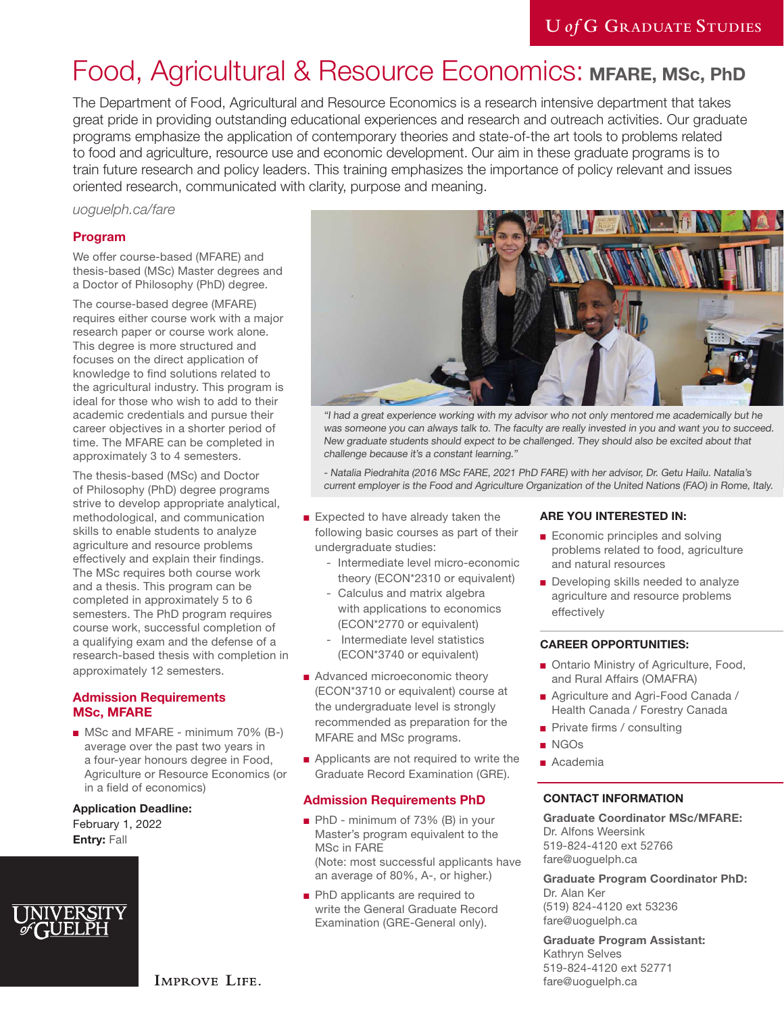# Food, Agricultural & Resource Economics: **MFARE, MSc, PhD**

The Department of Food, Agricultural and Resource Economics is a research intensive department that takes great pride in providing outstanding educational experiences and research and outreach activities. Our graduate programs emphasize the application of contemporary theories and state-of-the art tools to problems related to food and agriculture, resource use and economic development. Our aim in these graduate programs is to train future research and policy leaders. This training emphasizes the importance of policy relevant and issues oriented research, communicated with clarity, purpose and meaning.

### *[uoguelph.ca/fare](https://www.uoguelph.ca/fare/)*

### **Program**

We offer course-based (MFARE) and thesis-based (MSc) Master degrees and a Doctor of Philosophy (PhD) degree.

The course-based degree (MFARE) requires either course work with a major research paper or course work alone. This degree is more structured and focuses on the direct application of knowledge to find solutions related to the agricultural industry. This program is ideal for those who wish to add to their academic credentials and pursue their career objectives in a shorter period of time. The MFARE can be completed in approximately 3 to 4 semesters.

The thesis-based (MSc) and Doctor of Philosophy (PhD) degree programs strive to develop appropriate analytical, methodological, and communication skills to enable students to analyze agriculture and resource problems effectively and explain their findings. The MSc requires both course work and a thesis. This program can be completed in approximately 5 to 6 semesters. The PhD program requires course work, successful completion of a qualifying exam and the defense of a research-based thesis with completion in approximately 12 semesters.

### **Admission Requirements MSc, MFARE**

■ MSc and MFARE - minimum 70% (B-) average over the past two years in a four-year honours degree in Food, Agriculture or Resource Economics (or in a field of economics)

# **Application Deadline:**

February 1, 2022 **Entry:** Fall





"I had a great experience working with my advisor who not only mentored me academically but he was someone you can always talk to. The faculty are really invested in you and want you to succeed. New graduate students should expect to be challenged. They should also be excited about that challenge because it's a constant learning."

- Natalia Piedrahita (2016 MSc FARE, 2021 PhD FARE) with her advisor, Dr. Getu Hailu. Natalia's current employer is the Food and Agriculture Organization of the United Nations (FAO) in Rome, Italy.

- Expected to have already taken the following basic courses as part of their undergraduate studies:
	- Intermediate level micro-economic theory (ECON\*2310 or equivalent)
	- Calculus and matrix algebra with applications to economics (ECON\*2770 or equivalent)
	- Intermediate level statistics (ECON\*3740 or equivalent)
- Advanced microeconomic theory (ECON\*3710 or equivalent) course at the undergraduate level is strongly recommended as preparation for the MFARE and MSc programs.
- Applicants are not required to write the Graduate Record Examination (GRE).

### **Admission Requirements PhD**

- PhD minimum of 73% (B) in your Master's program equivalent to the MSc in FARE (Note: most successful applicants have an average of 80%, A-, or higher.)
- PhD applicants are required to write the General Graduate Record Examination (GRE-General only).

### **ARE YOU INTERESTED IN:**

- Economic principles and solving problems related to food, agriculture and natural resources
- Developing skills needed to analyze agriculture and resource problems effectively

### **CAREER OPPORTUNITIES:**

- Ontario Ministry of Agriculture, Food, and Rural Affairs (OMAFRA)
- Agriculture and Agri-Food Canada / Health Canada / Forestry Canada
- Private firms / consulting
- NGOs
- Academia

## **CONTACT INFORMATION**

**Graduate Coordinator MSc/MFARE:** Dr. Alfons Weersink 519-824-4120 ext 52766 fare@uoguelph.ca

**Graduate Program Coordinator PhD:** Dr. Alan Ker (519) 824-4120 ext 53236 fare@uoguelph.ca

**Graduate Program Assistant:**  Kathryn Selves 519-824-4120 ext 52771 fare@uoguelph.ca

**IMPROVE LIFE.**